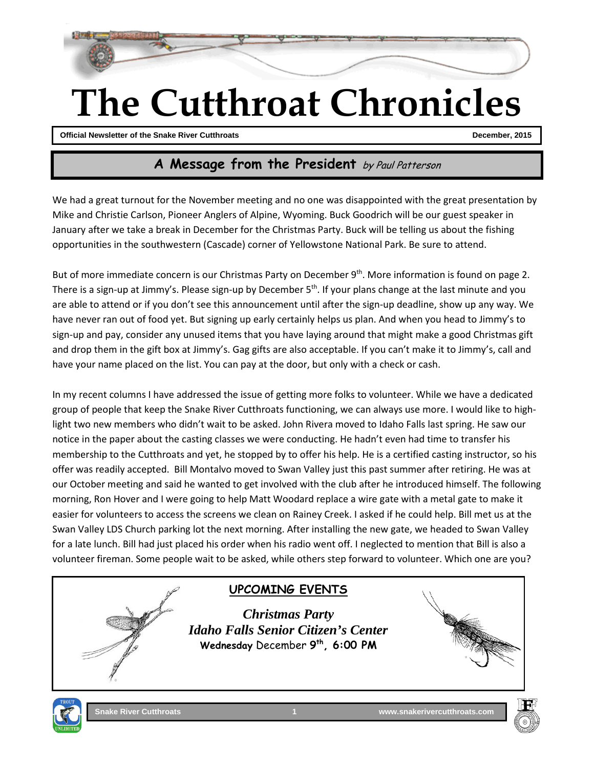

# **The Cutthroat Chronicles**

**Official Newsletter of the Snake River Cutthroats Cuttle Cuttle Snake River Cuttle Cuttle Cuttle Cuttle Cuttle Cuttle Cuttle Cuttle Cuttle Cuttle Cuttle Cuttle Cuttle Cuttle Cuttle Cuttle Cuttle Cuttle Cuttle Cuttle Cuttl** 

#### **A Message from the President** by Paul Patterson

We had a great turnout for the November meeting and no one was disappointed with the great presentation by Mike and Christie Carlson, Pioneer Anglers of Alpine, Wyoming. Buck Goodrich will be our guest speaker in January after we take a break in December for the Christmas Party. Buck will be telling us about the fishing opportunities in the southwestern (Cascade) corner of Yellowstone National Park. Be sure to attend.

But of more immediate concern is our Christmas Party on December 9<sup>th</sup>. More information is found on page 2. There is a sign-up at Jimmy's. Please sign-up by December  $5<sup>th</sup>$ . If your plans change at the last minute and you are able to attend or if you don't see this announcement until after the sign-up deadline, show up any way. We have never ran out of food yet. But signing up early certainly helps us plan. And when you head to Jimmy's to sign-up and pay, consider any unused items that you have laying around that might make a good Christmas gift and drop them in the gift box at Jimmy's. Gag gifts are also acceptable. If you can't make it to Jimmy's, call and have your name placed on the list. You can pay at the door, but only with a check or cash.

In my recent columns I have addressed the issue of getting more folks to volunteer. While we have a dedicated group of people that keep the Snake River Cutthroats functioning, we can always use more. I would like to highlight two new members who didn't wait to be asked. John Rivera moved to Idaho Falls last spring. He saw our notice in the paper about the casting classes we were conducting. He hadn't even had time to transfer his membership to the Cutthroats and yet, he stopped by to offer his help. He is a certified casting instructor, so his offer was readily accepted. Bill Montalvo moved to Swan Valley just this past summer after retiring. He was at our October meeting and said he wanted to get involved with the club after he introduced himself. The following morning, Ron Hover and I were going to help Matt Woodard replace a wire gate with a metal gate to make it easier for volunteers to access the screens we clean on Rainey Creek. I asked if he could help. Bill met us at the Swan Valley LDS Church parking lot the next morning. After installing the new gate, we headed to Swan Valley for a late lunch. Bill had just placed his order when his radio went off. I neglected to mention that Bill is also a volunteer fireman. Some people wait to be asked, while others step forward to volunteer. Which one are you?

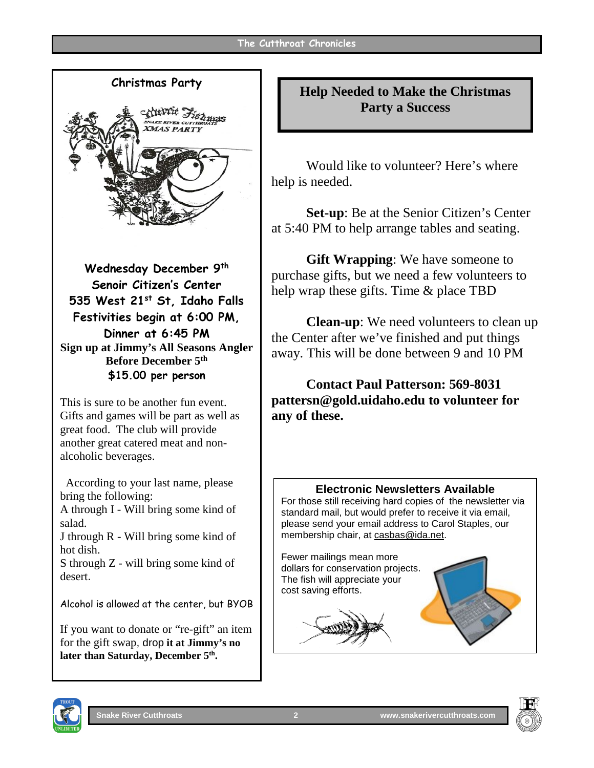

**Sign up at Jimmy's All Seasons Angler Before December 5th \$15.00 per person**

This is sure to be another fun event. Gifts and games will be part as well as great food. The club will provide another great catered meat and nonalcoholic beverages.

 According to your last name, please bring the following:

A through I - Will bring some kind of salad.

J through R - Will bring some kind of hot dish.

S through Z - will bring some kind of desert.

Alcohol is allowed at the center, but BYOB

If you want to donate or "re-gift" an item for the gift swap, drop **it at Jimmy's no**  later than Saturday, December 5<sup>th</sup>.

**Help Needed to Make the Christmas Party a Success**

Would like to volunteer? Here's where help is needed.

**Set-up**: Be at the Senior Citizen's Center at 5:40 PM to help arrange tables and seating.

**Gift Wrapping**: We have someone to purchase gifts, but we need a few volunteers to help wrap these gifts. Time & place TBD

**Clean-up**: We need volunteers to clean up the Center after we've finished and put things away. This will be done between 9 and 10 PM

**Contact Paul Patterson: 569-8031 pattersn@gold.uidaho.edu to volunteer for any of these.**

#### **Electronic Newsletters Available**

For those still receiving hard copies of the newsletter via standard mail, but would prefer to receive it via email, please send your email address to Carol Staples, our membership chair, at casbas@ida.net.

Fewer mailings mean more dollars for conservation projects. The fish will appreciate your cost saving efforts.





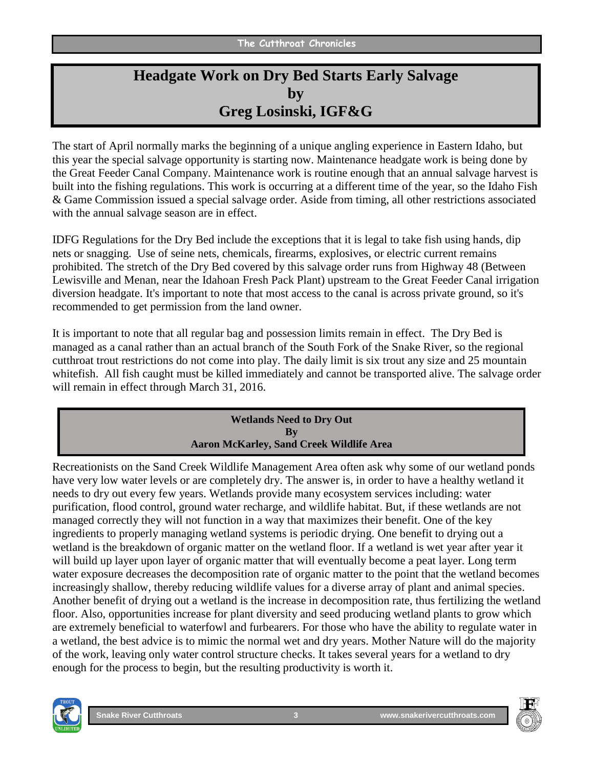## **Headgate Work on Dry Bed Starts Early Salvage by Greg Losinski, IGF&G**

The start of April normally marks the beginning of a unique angling experience in Eastern Idaho, but this year the special salvage opportunity is starting now. Maintenance headgate work is being done by the Great Feeder Canal Company. Maintenance work is routine enough that an annual salvage harvest is built into the fishing regulations. This work is occurring at a different time of the year, so the Idaho Fish & Game Commission issued a special salvage order. Aside from timing, all other restrictions associated with the annual salvage season are in effect.

IDFG Regulations for the Dry Bed include the exceptions that it is legal to take fish using hands, dip nets or snagging. Use of seine nets, chemicals, firearms, explosives, or electric current remains prohibited. The stretch of the Dry Bed covered by this salvage order runs from Highway 48 (Between Lewisville and Menan, near the Idahoan Fresh Pack Plant) upstream to the Great Feeder Canal irrigation diversion headgate. It's important to note that most access to the canal is across private ground, so it's recommended to get permission from the land owner.

It is important to note that all regular bag and possession limits remain in effect. The Dry Bed is managed as a canal rather than an actual branch of the South Fork of the Snake River, so the regional cutthroat trout restrictions do not come into play. The daily limit is six trout any size and 25 mountain whitefish. All fish caught must be killed immediately and cannot be transported alive. The salvage order will remain in effect through March 31, 2016.

#### **Wetlands Need to Dry Out By Aaron McKarley, Sand Creek Wildlife Area**

Recreationists on the Sand Creek Wildlife Management Area often ask why some of our wetland ponds have very low water levels or are completely dry. The answer is, in order to have a healthy wetland it needs to dry out every few years. Wetlands provide many ecosystem services including: water purification, flood control, ground water recharge, and wildlife habitat. But, if these wetlands are not managed correctly they will not function in a way that maximizes their benefit. One of the key ingredients to properly managing wetland systems is periodic drying. One benefit to drying out a wetland is the breakdown of organic matter on the wetland floor. If a wetland is wet year after year it will build up layer upon layer of organic matter that will eventually become a peat layer. Long term water exposure decreases the decomposition rate of organic matter to the point that the wetland becomes increasingly shallow, thereby reducing wildlife values for a diverse array of plant and animal species. Another benefit of drying out a wetland is the increase in decomposition rate, thus fertilizing the wetland floor. Also, opportunities increase for plant diversity and seed producing wetland plants to grow which are extremely beneficial to waterfowl and furbearers. For those who have the ability to regulate water in a wetland, the best advice is to mimic the normal wet and dry years. Mother Nature will do the majority of the work, leaving only water control structure checks. It takes several years for a wetland to dry enough for the process to begin, but the resulting productivity is worth it.



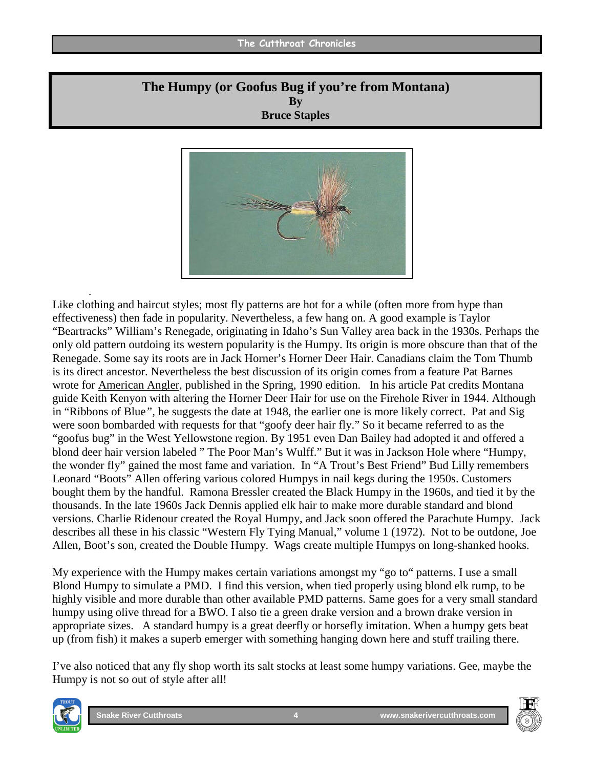#### **The Cutthroat Chronicles**

#### **The Humpy (or Goofus Bug if you're from Montana) By Bruce Staples**



Like clothing and haircut styles; most fly patterns are hot for a while (often more from hype than effectiveness) then fade in popularity. Nevertheless, a few hang on. A good example is Taylor "Beartracks" William's Renegade, originating in Idaho's Sun Valley area back in the 1930s. Perhaps the only old pattern outdoing its western popularity is the Humpy. Its origin is more obscure than that of the Renegade. Some say its roots are in Jack Horner's Horner Deer Hair. Canadians claim the Tom Thumb is its direct ancestor. Nevertheless the best discussion of its origin comes from a feature Pat Barnes wrote for American Angler, published in the Spring, 1990 edition. In his article Pat credits Montana guide Keith Kenyon with altering the Horner Deer Hair for use on the Firehole River in 1944. Although in "Ribbons of Blue*",* he suggests the date at 1948, the earlier one is more likely correct. Pat and Sig were soon bombarded with requests for that "goofy deer hair fly." So it became referred to as the "goofus bug" in the West Yellowstone region. By 1951 even Dan Bailey had adopted it and offered a blond deer hair version labeled " The Poor Man's Wulff." But it was in Jackson Hole where "Humpy, the wonder fly" gained the most fame and variation. In "A Trout's Best Friend" Bud Lilly remembers Leonard "Boots" Allen offering various colored Humpys in nail kegs during the 1950s. Customers bought them by the handful. Ramona Bressler created the Black Humpy in the 1960s, and tied it by the thousands. In the late 1960s Jack Dennis applied elk hair to make more durable standard and blond versions. Charlie Ridenour created the Royal Humpy, and Jack soon offered the Parachute Humpy. Jack describes all these in his classic "Western Fly Tying Manual," volume 1 (1972). Not to be outdone, Joe Allen, Boot's son, created the Double Humpy. Wags create multiple Humpys on long-shanked hooks.

My experience with the Humpy makes certain variations amongst my "go to" patterns. I use a small Blond Humpy to simulate a PMD. I find this version, when tied properly using blond elk rump, to be highly visible and more durable than other available PMD patterns. Same goes for a very small standard humpy using olive thread for a BWO. I also tie a green drake version and a brown drake version in appropriate sizes. A standard humpy is a great deerfly or horsefly imitation. When a humpy gets beat up (from fish) it makes a superb emerger with something hanging down here and stuff trailing there.

I've also noticed that any fly shop worth its salt stocks at least some humpy variations. Gee, maybe the Humpy is not so out of style after all!



.

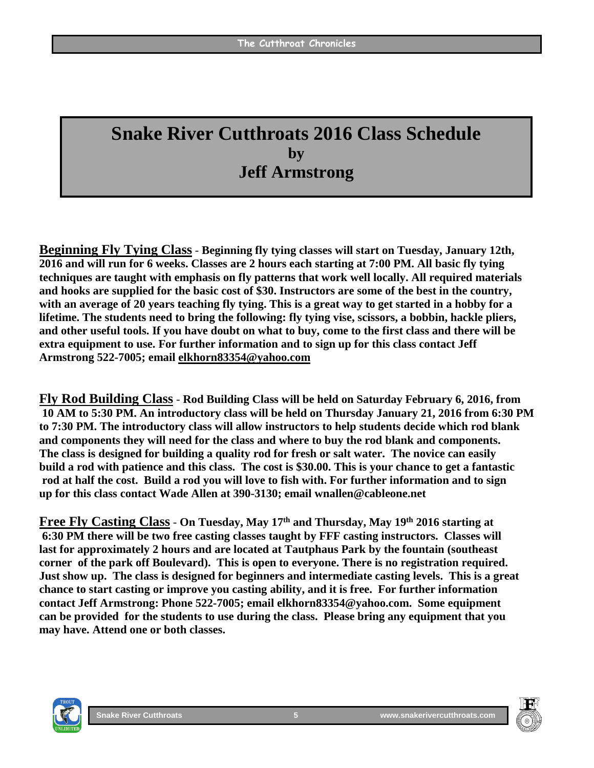# **Snake River Cutthroats 2016 Class Schedule by Jeff Armstrong**

**Beginning Fly Tying Class** - **Beginning fly tying classes will start on Tuesday, January 12th, 2016 and will run for 6 weeks. Classes are 2 hours each starting at 7:00 PM. All basic fly tying techniques are taught with emphasis on fly patterns that work well locally. All required materials and hooks are supplied for the basic cost of \$30. Instructors are some of the best in the country, with an average of 20 years teaching fly tying. This is a great way to get started in a hobby for a lifetime. The students need to bring the following: fly tying vise, scissors, a bobbin, hackle pliers, and other useful tools. If you have doubt on what to buy, come to the first class and there will be extra equipment to use. For further information and to sign up for this class contact Jeff Armstrong 522-7005; email [elkhorn83354@yahoo.com](mailto:elkhorn83354@yahoo.com)**

**Fly Rod Building Class** - **Rod Building Class will be held on Saturday February 6, 2016, from 10 AM to 5:30 PM. An introductory class will be held on Thursday January 21, 2016 from 6:30 PM to 7:30 PM. The introductory class will allow instructors to help students decide which rod blank and components they will need for the class and where to buy the rod blank and components. The class is designed for building a quality rod for fresh or salt water. The novice can easily build a rod with patience and this class. The cost is \$30.00. This is your chance to get a fantastic rod at half the cost. Build a rod you will love to fish with. For further information and to sign up for this class contact Wade Allen at 390-3130; email wnallen@cableone.net**

**Free Fly Casting Class** - **On Tuesday, May 17th and Thursday, May 19th 2016 starting at 6:30 PM there will be two free casting classes taught by FFF casting instructors. Classes will last for approximately 2 hours and are located at Tautphaus Park by the fountain (southeast corner of the park off Boulevard). This is open to everyone. There is no registration required. Just show up. The class is designed for beginners and intermediate casting levels. This is a great chance to start casting or improve you casting ability, and it is free. For further information contact Jeff Armstrong: Phone 522-7005; email elkhorn83354@yahoo.com. Some equipment can be provided for the students to use during the class. Please bring any equipment that you may have. Attend one or both classes.** 



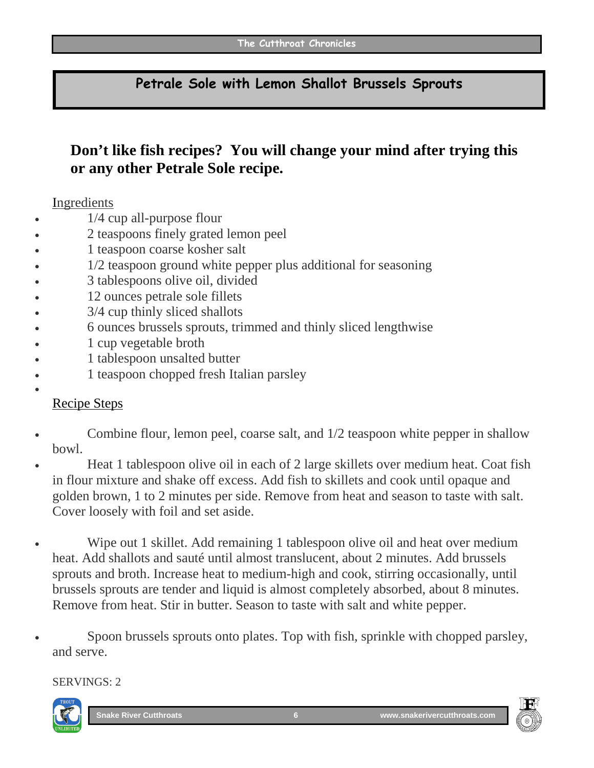#### **Petrale Sole with Lemon Shallot Brussels Sprouts**

## **Don't like fish recipes? You will change your mind after trying this or any other Petrale Sole recipe.**

#### Ingredients

- 1/4 cup all-purpose flour
- 2 teaspoons finely grated lemon peel
- 1 teaspoon coarse kosher salt
- 1/2 teaspoon ground white pepper plus additional for seasoning
- 3 tablespoons olive oil, divided
- 12 ounces petrale sole fillets
- 3/4 cup thinly sliced shallots
- 6 ounces brussels sprouts, trimmed and thinly sliced lengthwise
- 1 cup vegetable broth
- 1 tablespoon unsalted butter
- 1 teaspoon chopped fresh Italian parsley

#### Recipe Steps

•

- Combine flour, lemon peel, coarse salt, and 1/2 teaspoon white pepper in shallow bowl.
- Heat 1 tablespoon olive oil in each of 2 large skillets over medium heat. Coat fish in flour mixture and shake off excess. Add fish to skillets and cook until opaque and golden brown, 1 to 2 minutes per side. Remove from heat and season to taste with salt. Cover loosely with foil and set aside.
- Wipe out 1 skillet. Add remaining 1 tablespoon olive oil and heat over medium heat. Add shallots and sauté until almost translucent, about 2 minutes. Add brussels sprouts and broth. Increase heat to medium-high and cook, stirring occasionally, until brussels sprouts are tender and liquid is almost completely absorbed, about 8 minutes. Remove from heat. Stir in butter. Season to taste with salt and white pepper.
- Spoon brussels sprouts onto plates. Top with fish, sprinkle with chopped parsley, and serve.

#### SERVINGS: 2



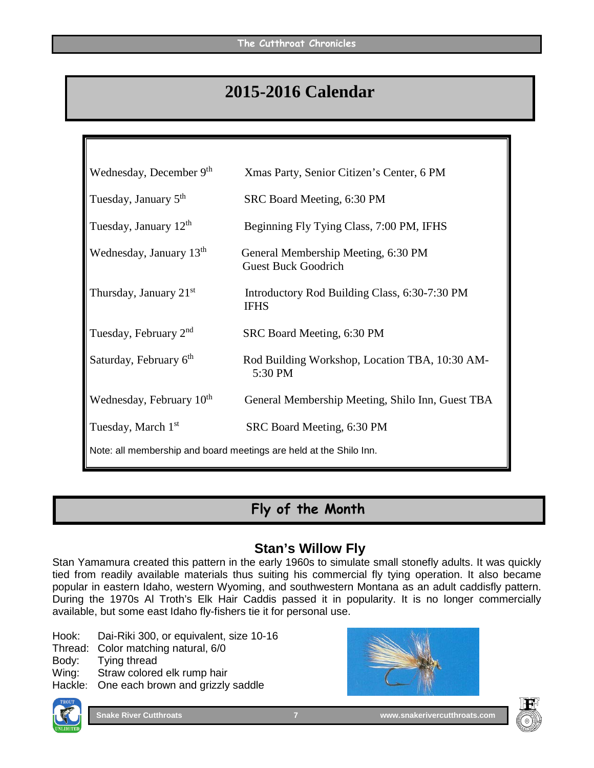# **2015-2016 Calendar**

| Wednesday, December 9th                                            | Xmas Party, Senior Citizen's Center, 6 PM                         |
|--------------------------------------------------------------------|-------------------------------------------------------------------|
| Tuesday, January 5 <sup>th</sup>                                   | SRC Board Meeting, 6:30 PM                                        |
| Tuesday, January 12 <sup>th</sup>                                  | Beginning Fly Tying Class, 7:00 PM, IFHS                          |
| Wednesday, January 13 <sup>th</sup>                                | General Membership Meeting, 6:30 PM<br><b>Guest Buck Goodrich</b> |
| Thursday, January $21st$                                           | Introductory Rod Building Class, 6:30-7:30 PM<br><b>IFHS</b>      |
| Tuesday, February 2 <sup>nd</sup>                                  | SRC Board Meeting, 6:30 PM                                        |
| Saturday, February 6 <sup>th</sup>                                 | Rod Building Workshop, Location TBA, 10:30 AM-<br>5:30 PM         |
| Wednesday, February 10 <sup>th</sup>                               | General Membership Meeting, Shilo Inn, Guest TBA                  |
| Tuesday, March 1 <sup>st</sup>                                     | SRC Board Meeting, 6:30 PM                                        |
| Note: all membership and board meetings are held at the Shilo Inn. |                                                                   |

# **Fly of the Month**

#### **Stan's Willow Fly**

Stan Yamamura created this pattern in the early 1960s to simulate small stonefly adults. It was quickly tied from readily available materials thus suiting his commercial fly tying operation. It also became popular in eastern Idaho, western Wyoming, and southwestern Montana as an adult caddisfly pattern. During the 1970s Al Troth's Elk Hair Caddis passed it in popularity. It is no longer commercially available, but some east Idaho fly-fishers tie it for personal use.

Hook: Dai-Riki 300, or equivalent, size 10-16

Thread: Color matching natural, 6/0<br>Body: Tying thread

Body: Tying thread<br>Wing: Straw colore

Straw colored elk rump hair

Hackle: One each brown and grizzly saddle